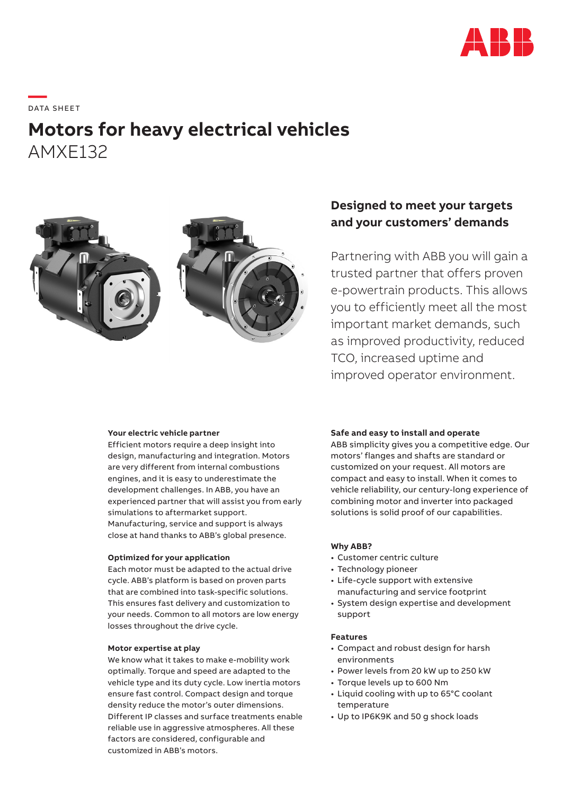

# **—**  DATA S H EE T

## **Motors for heavy electrical vehicles** AMXE132



#### **Your electric vehicle partner**

Efficient motors require a deep insight into design, manufacturing and integration. Motors are very different from internal combustions engines, and it is easy to underestimate the development challenges. In ABB, you have an experienced partner that will assist you from early simulations to aftermarket support. Manufacturing, service and support is always close at hand thanks to ABB's global presence.

#### **Optimized for your application**

Each motor must be adapted to the actual drive cycle. ABB's platform is based on proven parts that are combined into task-specific solutions. This ensures fast delivery and customization to your needs. Common to all motors are low energy losses throughout the drive cycle.

#### **Motor expertise at play**

We know what it takes to make e-mobility work optimally. Torque and speed are adapted to the vehicle type and its duty cycle. Low inertia motors ensure fast control. Compact design and torque density reduce the motor's outer dimensions. Different IP classes and surface treatments enable reliable use in aggressive atmospheres. All these factors are considered, configurable and customized in ABB's motors.

### **Designed to meet your targets and your customers' demands**

Partnering with ABB you will gain a trusted partner that offers proven e-powertrain products. This allows you to efficiently meet all the most important market demands, such as improved productivity, reduced TCO, increased uptime and improved operator environment.

#### **Safe and easy to install and operate**

ABB simplicity gives you a competitive edge. Our motors' flanges and shafts are standard or customized on your request. All motors are compact and easy to install. When it comes to vehicle reliability, our century-long experience of combining motor and inverter into packaged solutions is solid proof of our capabilities.

#### **Why ABB?**

- Customer centric culture
- Technology pioneer
- Life-cycle support with extensive manufacturing and service footprint
- System design expertise and development support

#### **Features**

- Compact and robust design for harsh environments
- Power levels from 20 kW up to 250 kW
- Torque levels up to 600 Nm
- Liquid cooling with up to 65°C coolant temperature
- Up to IP6K9K and 50 g shock loads